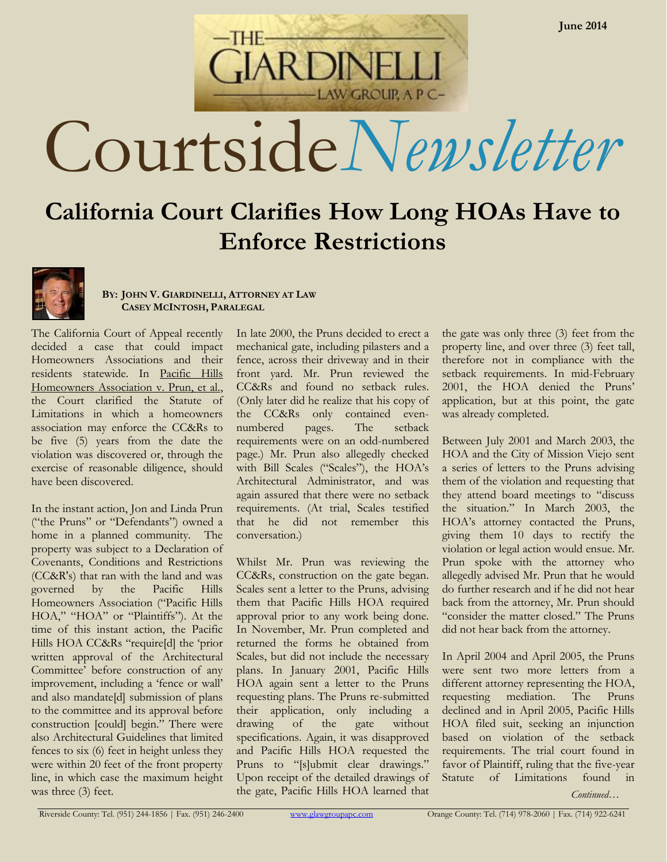Courtside*Newsletter*

LAW GROUP, A P C-

**ARDINE** 

# **California Court Clarifies How Long HOAs Have to Enforce Restrictions**



#### **BY: JOHN V. GIARDINELLI, ATTORNEY AT LAW CASEY MCINTOSH, PARALEGAL**

The California Court of Appeal recently decided a case that could impact Homeowners Associations and their residents statewide. In Pacific Hills Homeowners Association v. Prun, et al., the Court clarified the Statute of Limitations in which a homeowners association may enforce the CC&Rs to be five (5) years from the date the violation was discovered or, through the exercise of reasonable diligence, should have been discovered.

In the instant action, Jon and Linda Prun ("the Pruns" or "Defendants") owned a home in a planned community. The property was subject to a Declaration of Covenants, Conditions and Restrictions (CC&R's) that ran with the land and was governed by the Pacific Hills Homeowners Association ("Pacific Hills HOA," "HOA" or "Plaintiffs"). At the time of this instant action, the Pacific Hills HOA CC&Rs "require[d] the 'prior written approval of the Architectural Committee' before construction of any improvement, including a 'fence or wall' and also mandate[d] submission of plans to the committee and its approval before construction [could] begin." There were also Architectural Guidelines that limited fences to six (6) feet in height unless they were within 20 feet of the front property line, in which case the maximum height was three (3) feet.

In late 2000, the Pruns decided to erect a mechanical gate, including pilasters and a fence, across their driveway and in their front yard. Mr. Prun reviewed the CC&Rs and found no setback rules. (Only later did he realize that his copy of the CC&Rs only contained evennumbered pages. The setback requirements were on an odd-numbered page.) Mr. Prun also allegedly checked with Bill Scales ("Scales"), the HOA's Architectural Administrator, and was again assured that there were no setback requirements. (At trial, Scales testified that he did not remember this conversation.)

Whilst Mr. Prun was reviewing the CC&Rs, construction on the gate began. Scales sent a letter to the Pruns, advising them that Pacific Hills HOA required approval prior to any work being done. In November, Mr. Prun completed and returned the forms he obtained from Scales, but did not include the necessary plans. In January 2001, Pacific Hills HOA again sent a letter to the Pruns requesting plans. The Pruns re-submitted their application, only including a drawing of the gate without specifications. Again, it was disapproved and Pacific Hills HOA requested the Pruns to "[s]ubmit clear drawings." Upon receipt of the detailed drawings of the gate, Pacific Hills HOA learned that

the gate was only three (3) feet from the property line, and over three (3) feet tall, therefore not in compliance with the setback requirements. In mid-February 2001, the HOA denied the Pruns' application, but at this point, the gate was already completed.

Between July 2001 and March 2003, the HOA and the City of Mission Viejo sent a series of letters to the Pruns advising them of the violation and requesting that they attend board meetings to "discuss the situation." In March 2003, the HOA's attorney contacted the Pruns, giving them 10 days to rectify the violation or legal action would ensue. Mr. Prun spoke with the attorney who allegedly advised Mr. Prun that he would do further research and if he did not hear back from the attorney, Mr. Prun should "consider the matter closed." The Pruns did not hear back from the attorney.

In April 2004 and April 2005, the Pruns were sent two more letters from a different attorney representing the HOA, requesting mediation. The Pruns declined and in April 2005, Pacific Hills HOA filed suit, seeking an injunction based on violation of the setback requirements. The trial court found in favor of Plaintiff, ruling that the five-year Statute of Limitations found in

*Continued…*